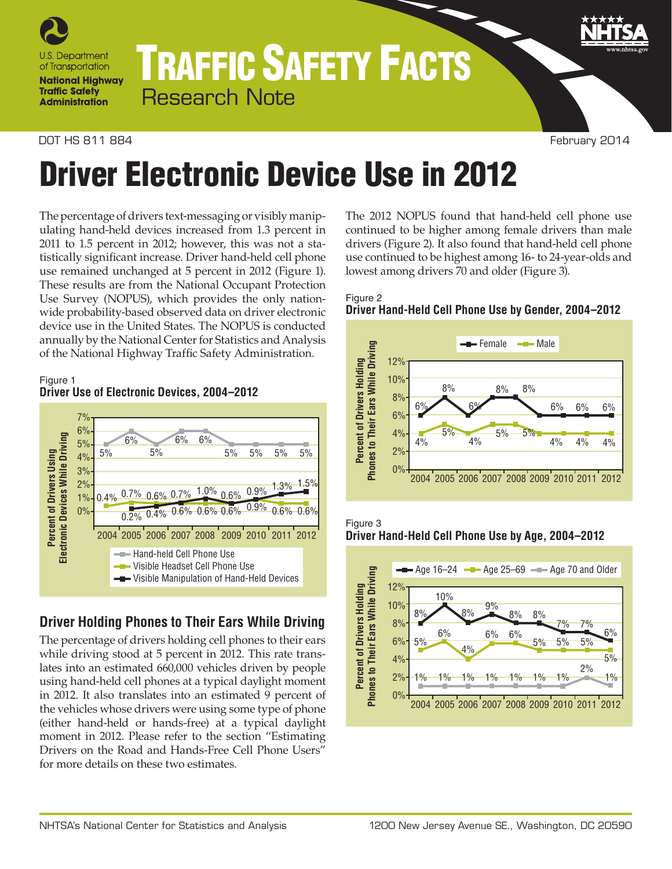

## TRAFFIC SAFETY FACTS Research Note

#### DOT HS 811 884 February 2014

# Driver Electronic Device Use in 2012

The percentage of drivers text-messaging or visibly manipulating hand-held devices increased from 1.3 percent in 2011 to 1.5 percent in 2012; however, this was not a statistically significant increase. Driver hand-held cell phone use remained unchanged at 5 percent in 2012 (Figure 1). These results are from the National Occupant Protection Use Survey (NOPUS), which provides the only nationwide probability-based observed data on driver electronic device use in the United States. The NOPUS is conducted annually by the National Center for Statistics and Analysis of the National Highway Traffic Safety Administration.

#### Figure 1 **Driver Use of Electronic Devices, 2004–2012**



## **Driver Holding Phones to Their Ears While Driving**

The percentage of drivers holding cell phones to their ears while driving stood at 5 percent in 2012. This rate translates into an estimated 660,000 vehicles driven by people using hand-held cell phones at a typical daylight moment in 2012. It also translates into an estimated 9 percent of the vehicles whose drivers were using some type of phone (either hand-held or hands-free) at a typical daylight moment in 2012. Please refer to the section "Estimating Drivers on the Road and Hands-Free Cell Phone Users" for more details on these two estimates.

The 2012 NOPUS found that hand-held cell phone use continued to be higher among female drivers than male drivers (Figure 2). It also found that hand-held cell phone use continued to be highest among 16- to 24-year-olds and lowest among drivers 70 and older (Figure 3).









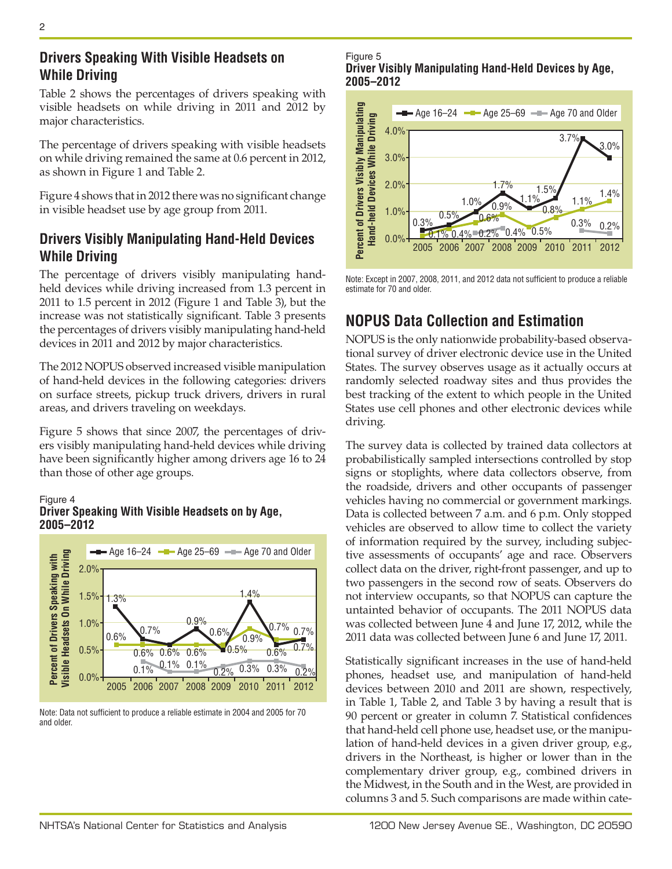## **Drivers Speaking With Visible Headsets on While Driving**

Table 2 shows the percentages of drivers speaking with visible headsets on while driving in 2011 and 2012 by major characteristics.

The percentage of drivers speaking with visible headsets on while driving remained the same at 0.6 percent in 2012, as shown in Figure 1 and Table 2.

Figure 4 shows that in 2012 there was no significant change in visible headset use by age group from 2011.

## **Drivers Visibly Manipulating Hand-Held Devices While Driving**

The percentage of drivers visibly manipulating handheld devices while driving increased from 1.3 percent in 2011 to 1.5 percent in 2012 (Figure 1 and Table 3), but the increase was not statistically significant. Table 3 presents the percentages of drivers visibly manipulating hand-held devices in 2011 and 2012 by major characteristics.

The 2012 NOPUS observed increased visible manipulation of hand-held devices in the following categories: drivers on surface streets, pickup truck drivers, drivers in rural areas, and drivers traveling on weekdays.

Figure 5 shows that since 2007, the percentages of drivers visibly manipulating hand-held devices while driving have been significantly higher among drivers age 16 to 24 than those of other age groups.

#### Figure 4

#### **Driver Speaking With Visible Headsets on by Age, 2005–2012**



Note: Data not sufficient to produce a reliable estimate in 2004 and 2005 for 70 and older.

Figure 5 **Driver Visibly Manipulating Hand-Held Devices by Age, 2005–2012**



Note: Except in 2007, 2008, 2011, and 2012 data not sufficient to produce a reliable estimate for 70 and older.

## **NOPUS Data Collection and Estimation**

NOPUS is the only nationwide probability-based observational survey of driver electronic device use in the United States. The survey observes usage as it actually occurs at randomly selected roadway sites and thus provides the best tracking of the extent to which people in the United States use cell phones and other electronic devices while driving.

The survey data is collected by trained data collectors at probabilistically sampled intersections controlled by stop signs or stoplights, where data collectors observe, from the roadside, drivers and other occupants of passenger vehicles having no commercial or government markings. Data is collected between 7 a.m. and 6 p.m. Only stopped vehicles are observed to allow time to collect the variety of information required by the survey, including subjective assessments of occupants' age and race. Observers collect data on the driver, right-front passenger, and up to two passengers in the second row of seats. Observers do not interview occupants, so that NOPUS can capture the untainted behavior of occupants. The 2011 NOPUS data was collected between June 4 and June 17, 2012, while the 2011 data was collected between June 6 and June 17, 2011.

Statistically significant increases in the use of hand-held phones, headset use, and manipulation of hand-held devices between 2010 and 2011 are shown, respectively, in Table 1, Table 2, and Table 3 by having a result that is 90 percent or greater in column 7. Statistical confidences that hand-held cell phone use, headset use, or the manipulation of hand-held devices in a given driver group, e.g., drivers in the Northeast, is higher or lower than in the complementary driver group, e.g., combined drivers in the Midwest, in the South and in the West, are provided in columns 3 and 5. Such comparisons are made within cate-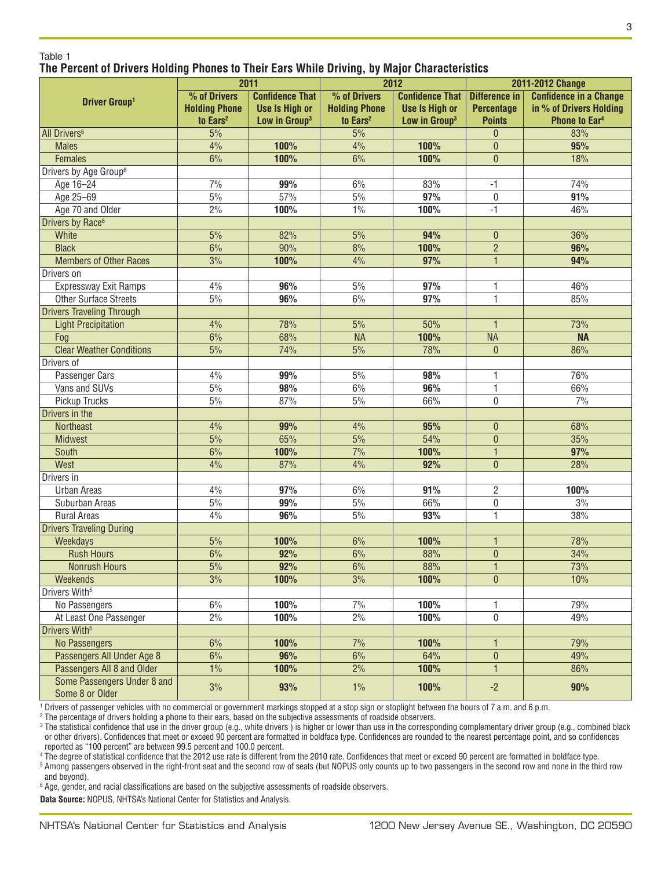|                                   | 2011                 |                           | 2012                 |                           | 2011-2012 Change             |                               |
|-----------------------------------|----------------------|---------------------------|----------------------|---------------------------|------------------------------|-------------------------------|
| <b>Driver Group1</b>              | % of Drivers         | <b>Confidence That</b>    | % of Drivers         | <b>Confidence That</b>    | <b>Difference in</b>         | <b>Confidence in a Change</b> |
|                                   | <b>Holding Phone</b> | <b>Use Is High or</b>     | <b>Holding Phone</b> | <b>Use Is High or</b>     | <b>Percentage</b>            | in % of Drivers Holding       |
|                                   | to Ears <sup>2</sup> | Low in Group <sup>3</sup> | to Ears <sup>2</sup> | Low in Group <sup>3</sup> | <b>Points</b>                | <b>Phone to Ear4</b>          |
| <b>All Drivers<sup>6</sup></b>    | 5%                   |                           | 5%                   |                           | $\theta$                     | 83%                           |
| <b>Males</b>                      | 4%                   | 100%                      | 4%                   | 100%                      | $\mathbf{0}$                 | 95%                           |
| <b>Females</b>                    | 6%                   | 100%                      | 6%                   | 100%                      | $\overline{0}$               | 18%                           |
| Drivers by Age Group <sup>6</sup> |                      |                           |                      |                           |                              |                               |
| Age 16-24                         | 7%                   | 99%                       | 6%                   | 83%                       | $-1$                         | 74%                           |
| Age 25-69                         | 5%                   | 57%                       | $5\%$                | 97%                       | $\mathbf{0}$                 | 91%                           |
| Age 70 and Older                  | 2%                   | 100%                      | $1\%$                | 100%                      | $-1$                         | 46%                           |
| Drivers by Race <sup>6</sup>      |                      |                           |                      |                           |                              |                               |
| White                             | 5%                   | 82%                       | 5%                   | 94%                       | $\theta$                     | 36%                           |
| <b>Black</b>                      | 6%                   | 90%                       | 8%                   | 100%                      | $\overline{2}$               | 96%                           |
| <b>Members of Other Races</b>     | 3%                   | 100%                      | 4%                   | 97%                       | $\mathbf{1}$                 | 94%                           |
| Drivers on                        |                      |                           |                      |                           |                              |                               |
| Expressway Exit Ramps             | 4%                   | 96%                       | $5\%$                | 97%                       | 1                            | 46%                           |
| <b>Other Surface Streets</b>      | 5%                   | 96%                       | 6%                   | 97%                       | $\mathbf{1}$                 | 85%                           |
| <b>Drivers Traveling Through</b>  |                      |                           |                      |                           |                              |                               |
| <b>Light Precipitation</b>        | 4%                   | 78%                       | 5%                   | 50%                       | $\mathbf{1}$                 | 73%                           |
| Fog                               | 6%                   | 68%                       | <b>NA</b>            | 100%                      | <b>NA</b>                    | <b>NA</b>                     |
| <b>Clear Weather Conditions</b>   | 5%                   | 74%                       | 5%                   | 78%                       | $\overline{0}$               | 86%                           |
| Drivers of                        |                      |                           |                      |                           |                              |                               |
| <b>Passenger Cars</b>             | 4%                   | 99%                       | $5\%$                | 98%                       | 1                            | 76%                           |
| Vans and SUVs                     | 5%                   | 98%                       | 6%                   | 96%                       | $\mathbf{1}$                 | 66%                           |
| Pickup Trucks                     | 5%                   | 87%                       | $5\%$                | 66%                       | 0                            | 7%                            |
| Drivers in the                    |                      |                           |                      |                           |                              |                               |
| <b>Northeast</b>                  | 4%                   | 99%                       | 4%                   | 95%                       | $\mathbf{0}$                 | 68%<br>35%                    |
| <b>Midwest</b><br>South           | 5%<br>6%             | 65%<br>100%               | 5%<br>7%             | 54%<br>100%               | $\mathbf{0}$                 | 97%                           |
| West                              | 4%                   | 87%                       | 4%                   | 92%                       | $\mathbf{1}$<br>$\mathbf{0}$ | 28%                           |
| Drivers in                        |                      |                           |                      |                           |                              |                               |
| <b>Urban Areas</b>                | 4%                   | 97%                       | 6%                   | 91%                       | 2                            | 100%                          |
| Suburban Areas                    | 5%                   | 99%                       | 5%                   | 66%                       | $\boldsymbol{0}$             | 3%                            |
| <b>Rural Areas</b>                | 4%                   | 96%                       | 5%                   | 93%                       | $\mathbf{1}$                 | 38%                           |
| <b>Drivers Traveling During</b>   |                      |                           |                      |                           |                              |                               |
| Weekdays                          | 5%                   | 100%                      | 6%                   | 100%                      | $\mathbf{1}$                 | 78%                           |
| <b>Rush Hours</b>                 | 6%                   | 92%                       | 6%                   | 88%                       | $\pmb{0}$                    | 34%                           |
| <b>Nonrush Hours</b>              | $\overline{5\%}$     | 92%                       | 6%                   | 88%                       | $\mathbf{1}$                 | 73%                           |
| Weekends                          | 3%                   | 100%                      | 3%                   | 100%                      | $\mathbf{0}$                 | 10%                           |
| Drivers With <sup>5</sup>         |                      |                           |                      |                           |                              |                               |
| No Passengers                     | 6%                   | 100%                      | 7%                   | 100%                      | 1                            | 79%                           |
| At Least One Passenger            | 2%                   | 100%                      | 2%                   | 100%                      | 0                            | 49%                           |
| Drivers With <sup>5</sup>         |                      |                           |                      |                           |                              |                               |
| <b>No Passengers</b>              | 6%                   | 100%                      | 7%                   | 100%                      | 1                            | 79%                           |
| Passengers All Under Age 8        | 6%                   | 96%                       | 6%                   | 64%                       | $\boldsymbol{0}$             | 49%                           |
| Passengers All 8 and Older        | $1\%$                | 100%                      | 2%                   | 100%                      | $\mathbf{1}$                 | 86%                           |
| Some Passengers Under 8 and       | 3%                   | 93%                       | $1\%$                | 100%                      | $-2$                         | 90%                           |
| Some 8 or Older                   |                      |                           |                      |                           |                              |                               |

1 Drivers of passenger vehicles with no commercial or government markings stopped at a stop sign or stoplight between the hours of 7 a.m. and 6 p.m.

2 The percentage of drivers holding a phone to their ears, based on the subjective assessments of roadside observers.

<sup>3</sup> The statistical confidence that use in the driver group (e.g., white drivers) is higher or lower than use in the corresponding complementary driver group (e.g., combined black or other drivers). Confidences that meet or exceed 90 percent are formatted in boldface type. Confidences are rounded to the nearest percentage point, and so confidences reported as "100 percent" are between 99.5 percent and 100.0 percent.

4 The degree of statistical confidence that the 2012 use rate is different from the 2010 rate. Confidences that meet or exceed 90 percent are formatted in boldface type.

<sup>5</sup> Among passengers observed in the right-front seat and the second row of seats (but NOPUS only counts up to two passengers in the second row and none in the third row and beyond).

 $^{\rm 6}$  Age, gender, and racial classifications are based on the subjective assessments of roadside observers.

**Data Source:** NOPUS, NHTSA's National Center for Statistics and Analysis.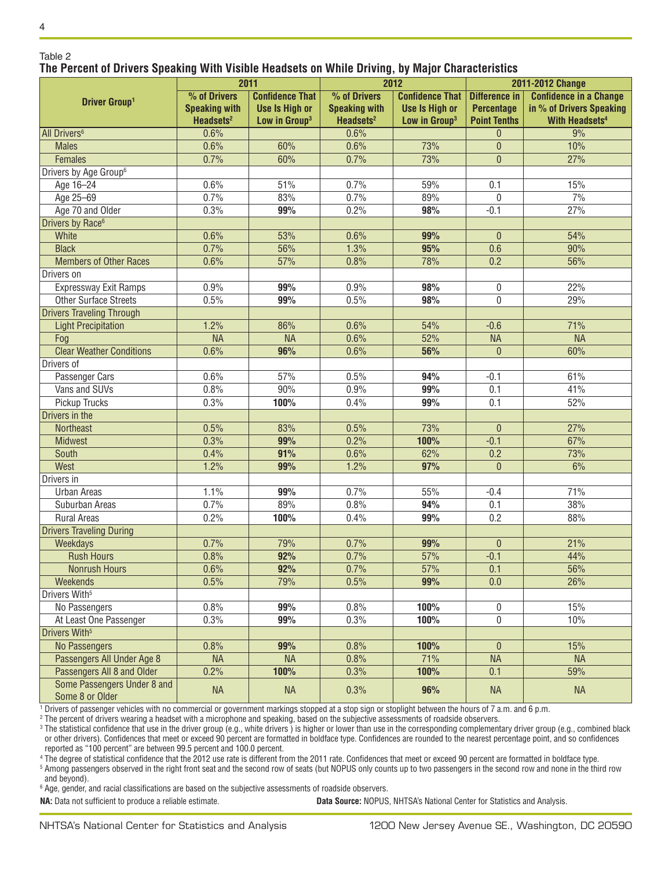#### Table 2 **The Percent of Drivers Speaking With Visible Headsets on While Driving, by Major Characteristics**

|                                                | 2011                  |                           | . .<br>2012           |                           | 2011-2012 Change     |                                  |
|------------------------------------------------|-----------------------|---------------------------|-----------------------|---------------------------|----------------------|----------------------------------|
|                                                | % of Drivers          | <b>Confidence That</b>    | % of Drivers          | <b>Confidence That  </b>  | <b>Difference in</b> | <b>Confidence in a Change</b>    |
| <b>Driver Group1</b>                           | <b>Speaking with</b>  | <b>Use Is High or</b>     | <b>Speaking with</b>  | <b>Use Is High or</b>     | <b>Percentage</b>    | in % of Drivers Speaking         |
|                                                | Headsets <sup>2</sup> | Low in Group <sup>3</sup> | Headsets <sup>2</sup> | Low in Group <sup>3</sup> | <b>Point Tenths</b>  | <b>With Headsets<sup>4</sup></b> |
| All Drivers <sup>6</sup>                       | 0.6%                  |                           | 0.6%                  |                           | $\overline{0}$       | 9%                               |
| <b>Males</b>                                   | 0.6%                  | 60%                       | 0.6%                  | 73%                       | $\theta$             | 10%                              |
| Females                                        | 0.7%                  | 60%                       | 0.7%                  | 73%                       | $\mathbf{0}$         | 27%                              |
| Drivers by Age Group <sup>6</sup>              |                       |                           |                       |                           |                      |                                  |
| Age 16-24                                      | 0.6%                  | 51%                       | 0.7%                  | 59%                       | 0.1                  | 15%                              |
| Age 25-69                                      | 0.7%                  | 83%                       | 0.7%                  | 89%                       | $\mathbf{0}$         | 7%                               |
| Age 70 and Older                               | 0.3%                  | 99%                       | 0.2%                  | 98%                       | $-0.1$               | 27%                              |
| Drivers by Race <sup>6</sup>                   |                       |                           |                       |                           |                      |                                  |
| White                                          | 0.6%                  | 53%                       | 0.6%                  | 99%                       | $\mathbf{0}$         | 54%                              |
| <b>Black</b>                                   | 0.7%                  | 56%                       | 1.3%                  | 95%                       | 0.6                  | 90%                              |
| <b>Members of Other Races</b>                  | 0.6%                  | 57%                       | 0.8%                  | 78%                       | 0.2                  | 56%                              |
| Drivers on                                     |                       |                           |                       |                           |                      |                                  |
| Expressway Exit Ramps                          | 0.9%                  | 99%                       | 0.9%                  | 98%                       | 0                    | 22%                              |
| <b>Other Surface Streets</b>                   | 0.5%                  | 99%                       | 0.5%                  | 98%                       | 0                    | 29%                              |
| <b>Drivers Traveling Through</b>               |                       |                           |                       |                           |                      |                                  |
| <b>Light Precipitation</b>                     | 1.2%                  | 86%                       | 0.6%                  | 54%                       | $-0.6$               | 71%                              |
| Fog                                            | <b>NA</b>             | <b>NA</b>                 | 0.6%                  | 52%                       | <b>NA</b>            | <b>NA</b>                        |
| <b>Clear Weather Conditions</b>                | 0.6%                  | 96%                       | 0.6%                  | 56%                       | $\theta$             | 60%                              |
| Drivers of                                     |                       |                           |                       |                           |                      |                                  |
| Passenger Cars                                 | 0.6%                  | 57%                       | 0.5%                  | 94%                       | $-0.1$               | 61%                              |
| Vans and SUVs                                  | 0.8%                  | 90%                       | 0.9%                  | 99%                       | 0.1                  | 41%                              |
| Pickup Trucks                                  | 0.3%                  | 100%                      | 0.4%                  | 99%                       | 0.1                  | 52%                              |
| Drivers in the                                 |                       |                           |                       |                           |                      |                                  |
| <b>Northeast</b>                               | 0.5%                  | 83%                       | 0.5%                  | 73%                       | $\theta$             | 27%                              |
| <b>Midwest</b>                                 | 0.3%                  | 99%                       | 0.2%                  | 100%                      | $-0.1$               | 67%                              |
| South                                          | 0.4%                  | 91%                       | 0.6%                  | 62%                       | 0.2                  | 73%                              |
| West                                           | 1.2%                  | 99%                       | 1.2%                  | 97%                       | $\mathbf{0}$         | 6%                               |
| Drivers in                                     |                       |                           |                       |                           |                      |                                  |
| <b>Urban Areas</b>                             | 1.1%                  | 99%                       | 0.7%                  | 55%                       | $-0.4$               | 71%                              |
| Suburban Areas                                 | 0.7%                  | 89%                       | 0.8%                  | 94%                       | 0.1                  | 38%                              |
| <b>Rural Areas</b>                             | 0.2%                  | 100%                      | 0.4%                  | 99%                       | 0.2                  | 88%                              |
| <b>Drivers Traveling During</b>                |                       |                           |                       |                           |                      |                                  |
| Weekdays                                       | 0.7%                  | 79%                       | 0.7%                  | 99%                       | $\theta$             | 21%                              |
| <b>Rush Hours</b>                              | 0.8%                  | 92%                       | 0.7%                  | 57%                       | $-0.1$               | 44%                              |
| Nonrush Hours                                  | $0.6\%$               | 92%                       | 0.7%                  | 57%                       | 0.1                  | 56%                              |
| Weekends                                       | 0.5%                  | 79%                       | 0.5%                  | 99%                       | 0.0                  | 26%                              |
| Drivers With <sup>5</sup>                      |                       |                           |                       |                           |                      |                                  |
| No Passengers                                  | 0.8%                  | 99%                       | $0.8\%$               | 100%                      | 0                    | 15%                              |
| At Least One Passenger                         | 0.3%                  | 99%                       | 0.3%                  | 100%                      | $\mathbf 0$          | 10%                              |
| Drivers With <sup>5</sup>                      |                       |                           |                       |                           |                      |                                  |
| <b>No Passengers</b>                           | 0.8%                  | 99%                       | 0.8%                  | 100%                      | $\pmb{0}$            | 15%                              |
| Passengers All Under Age 8                     | <b>NA</b>             | <b>NA</b>                 | 0.8%                  | 71%                       | <b>NA</b>            | <b>NA</b>                        |
| Passengers All 8 and Older                     | 0.2%                  | 100%                      | 0.3%                  | 100%                      | 0.1                  | 59%                              |
| Some Passengers Under 8 and<br>Some 8 or Older | <b>NA</b>             | <b>NA</b>                 | 0.3%                  | 96%                       | <b>NA</b>            | <b>NA</b>                        |

1 Drivers of passenger vehicles with no commercial or government markings stopped at a stop sign or stoplight between the hours of 7 a.m. and 6 p.m.

2 The percent of drivers wearing a headset with a microphone and speaking, based on the subjective assessments of roadside observers.

<sup>3</sup> The statistical confidence that use in the driver group (e.g., white drivers) is higher or lower than use in the corresponding complementary driver group (e.g., combined black or other drivers). Confidences that meet or exceed 90 percent are formatted in boldface type. Confidences are rounded to the nearest percentage point, and so confidences reported as "100 percent" are between 99.5 percent and 100.0 percent.

4 The degree of statistical confidence that the 2012 use rate is different from the 2011 rate. Confidences that meet or exceed 90 percent are formatted in boldface type.

<sup>5</sup> Among passengers observed in the right front seat and the second row of seats (but NOPUS only counts up to two passengers in the second row and none in the third row and beyond).

 $^{\rm 6}$  Age, gender, and racial classifications are based on the subjective assessments of roadside observers.

**NA:** Data not sufficient to produce a reliable estimate. **Data Source:** NOPUS, NHTSA's National Center for Statistics and Analysis.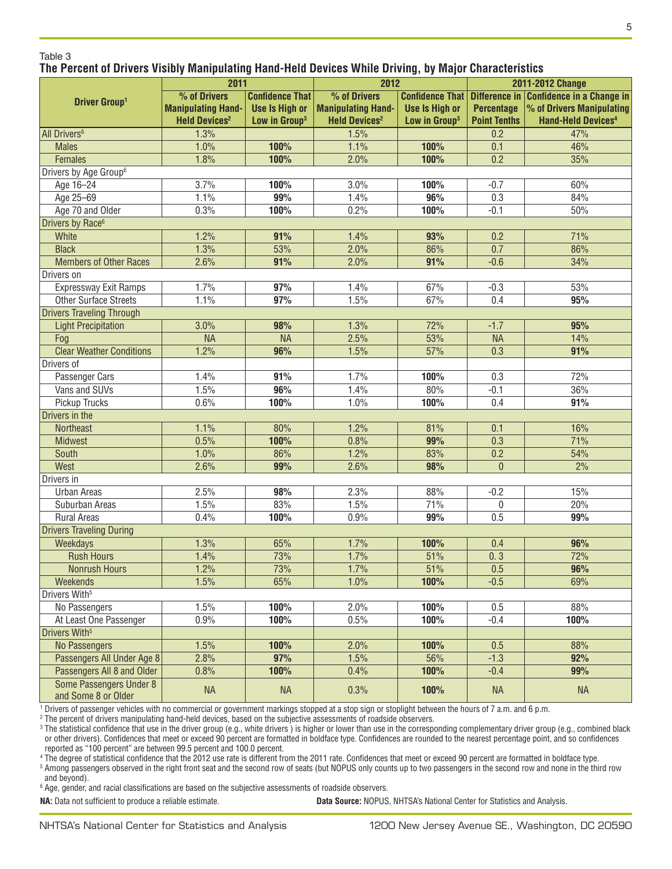#### Table 3 **The Percent of Drivers Visibly Manipulating Hand-Held Devices While Driving, by Major Characteristics**

| 2011                              |                                 |                           | 2012                            |                           | 2011-2012 Change    |                                         |
|-----------------------------------|---------------------------------|---------------------------|---------------------------------|---------------------------|---------------------|-----------------------------------------|
|                                   | % of Drivers                    | <b>Confidence That</b>    | % of Drivers                    | Confidence That           |                     | Difference in Confidence in a Change in |
| <b>Driver Group1</b>              | <b>Manipulating Hand-</b>       | <b>Use Is High or</b>     | <b>Manipulating Hand-</b>       | <b>Use Is High or</b>     | <b>Percentage</b>   | % of Drivers Manipulating               |
|                                   | <b>Held Devices<sup>2</sup></b> | Low in Group <sup>3</sup> | <b>Held Devices<sup>2</sup></b> | Low in Group <sup>3</sup> | <b>Point Tenths</b> | <b>Hand-Held Devices4</b>               |
| All Drivers <sup>6</sup>          | 1.3%                            |                           | 1.5%                            |                           | 0.2                 | 47%                                     |
| <b>Males</b>                      | 1.0%                            | 100%                      | 1.1%                            | 100%                      | 0.1                 | 46%                                     |
| Females                           | 1.8%                            | 100%                      | 2.0%                            | 100%                      | 0.2                 | 35%                                     |
| Drivers by Age Group <sup>6</sup> |                                 |                           |                                 |                           |                     |                                         |
| Age 16-24                         | 3.7%                            | 100%                      | 3.0%                            | 100%                      | $-0.7$              | 60%                                     |
| Age 25-69                         | 1.1%                            | 99%                       | 1.4%                            | 96%                       | 0.3                 | 84%                                     |
| Age 70 and Older                  | 0.3%                            | 100%                      | 0.2%                            | 100%                      | $-0.1$              | 50%                                     |
| Drivers by Race <sup>6</sup>      |                                 |                           |                                 |                           |                     |                                         |
| White                             | 1.2%                            | 91%                       | 1.4%                            | 93%                       | 0.2                 | 71%                                     |
| <b>Black</b>                      | 1.3%                            | 53%                       | 2.0%                            | 86%                       | 0.7                 | 86%                                     |
| <b>Members of Other Races</b>     | 2.6%                            | 91%                       | 2.0%                            | 91%                       | $-0.6$              | 34%                                     |
| Drivers on                        |                                 |                           |                                 |                           |                     |                                         |
| Expressway Exit Ramps             | 1.7%                            | 97%                       | 1.4%                            | 67%                       | $-0.3$              | 53%                                     |
| <b>Other Surface Streets</b>      | 1.1%                            | 97%                       | 1.5%                            | 67%                       | 0.4                 | 95%                                     |
| <b>Drivers Traveling Through</b>  |                                 |                           |                                 |                           |                     |                                         |
| <b>Light Precipitation</b>        | 3.0%                            | 98%                       | 1.3%                            | 72%                       | $-1.7$              | 95%                                     |
| Fog                               | <b>NA</b>                       | <b>NA</b>                 | 2.5%                            | 53%                       | <b>NA</b>           | 14%                                     |
| <b>Clear Weather Conditions</b>   | 1.2%                            | 96%                       | 1.5%                            | 57%                       | 0.3                 | 91%                                     |
| Drivers of                        |                                 |                           |                                 |                           |                     |                                         |
| Passenger Cars                    | 1.4%                            | 91%                       | 1.7%                            | 100%                      | 0.3                 | 72%                                     |
| Vans and SUVs                     | 1.5%                            | 96%                       | 1.4%                            | 80%                       | $-0.1$              | 36%                                     |
| Pickup Trucks                     | 0.6%                            | 100%                      | 1.0%                            | 100%                      | 0.4                 | 91%                                     |
| Drivers in the                    |                                 |                           |                                 |                           |                     |                                         |
| <b>Northeast</b>                  | 1.1%                            | 80%                       | 1.2%                            | 81%                       | 0.1                 | 16%                                     |
| <b>Midwest</b>                    | 0.5%                            | 100%                      | 0.8%                            | 99%                       | 0.3                 | 71%                                     |
| South                             | 1.0%                            | 86%                       | 1.2%                            | 83%                       | 0.2                 | 54%                                     |
| West                              | 2.6%                            | 99%                       | 2.6%                            | 98%                       | $\mathbf{0}$        | 2%                                      |
| Drivers in                        |                                 |                           |                                 |                           |                     |                                         |
| <b>Urban Areas</b>                | 2.5%                            | 98%                       | 2.3%                            | 88%                       | $-0.2$              | 15%                                     |
| Suburban Areas                    | 1.5%                            | 83%                       | 1.5%                            | 71%                       | 0                   | 20%                                     |
| Rural Areas                       | 0.4%                            | 100%                      | 0.9%                            | 99%                       | 0.5                 | 99%                                     |
| <b>Drivers Traveling During</b>   |                                 |                           |                                 |                           |                     |                                         |
| Weekdays                          | 1.3%                            | 65%                       | 1.7%                            | 100%                      | 0.4                 | 96%                                     |
| <b>Rush Hours</b>                 | 1.4%                            | 73%                       | 1.7%                            | 51%                       | 0.3                 | 72%                                     |
| <b>Nonrush Hours</b>              | 1.2%                            | 73%                       | 1.7%                            | 51%                       | 0.5                 | 96%                                     |
| Weekends                          | 1.5%                            | 65%                       | 1.0%                            | 100%                      | $-0.5$              | 69%                                     |
| Drivers With <sup>5</sup>         |                                 |                           |                                 |                           |                     |                                         |
| No Passengers                     | 1.5%                            | 100%                      | 2.0%                            | 100%                      | 0.5                 | 88%                                     |
| At Least One Passenger            | $0.9\%$                         | 100%                      | 0.5%                            | 100%                      | $-0.4$              | 100%                                    |
| Drivers With <sup>5</sup>         |                                 |                           |                                 |                           |                     |                                         |
| No Passengers                     | 1.5%                            | 100%                      | 2.0%                            | 100%                      | 0.5                 | 88%                                     |
| Passengers All Under Age 8        | 2.8%                            | 97%                       | 1.5%                            | 56%                       | $-1.3$              | 92%                                     |
| Passengers All 8 and Older        | 0.8%                            | 100%                      | 0.4%                            | 100%                      | $-0.4$              | 99%                                     |
| <b>Some Passengers Under 8</b>    | <b>NA</b>                       | <b>NA</b>                 | 0.3%                            | 100%                      | <b>NA</b>           | <b>NA</b>                               |
| and Some 8 or Older               |                                 |                           |                                 |                           |                     |                                         |

1 Drivers of passenger vehicles with no commercial or government markings stopped at a stop sign or stoplight between the hours of 7 a.m. and 6 p.m.

2 The percent of drivers manipulating hand-held devices, based on the subjective assessments of roadside observers.

<sup>3</sup> The statistical confidence that use in the driver group (e.g., white drivers) is higher or lower than use in the corresponding complementary driver group (e.g., combined black or other drivers). Confidences that meet or exceed 90 percent are formatted in boldface type. Confidences are rounded to the nearest percentage point, and so confidences reported as "100 percent" are between 99.5 percent and 100.0 percent.

4 The degree of statistical confidence that the 2012 use rate is different from the 2011 rate. Confidences that meet or exceed 90 percent are formatted in boldface type.

<sup>5</sup> Among passengers observed in the right front seat and the second row of seats (but NOPUS only counts up to two passengers in the second row and none in the third row and beyond).

 $^{\rm 6}$  Age, gender, and racial classifications are based on the subjective assessments of roadside observers.

**NA:** Data not sufficient to produce a reliable estimate. **Data Source:** NOPUS, NHTSA's National Center for Statistics and Analysis.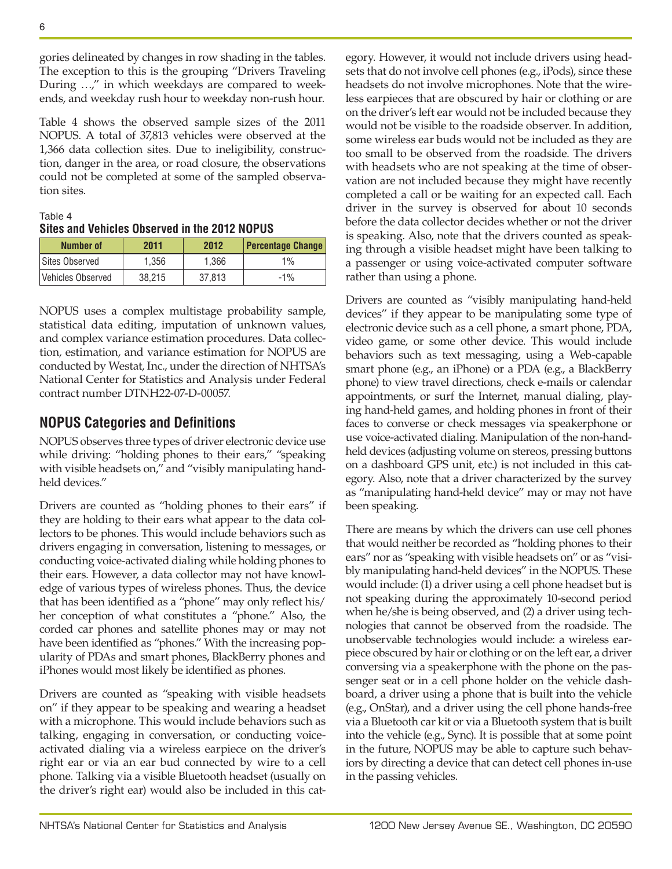gories delineated by changes in row shading in the tables. The exception to this is the grouping "Drivers Traveling During …," in which weekdays are compared to weekends, and weekday rush hour to weekday non-rush hour.

Table 4 shows the observed sample sizes of the 2011 NOPUS. A total of 37,813 vehicles were observed at the 1,366 data collection sites. Due to ineligibility, construction, danger in the area, or road closure, the observations could not be completed at some of the sampled observation sites.

| Table 4 |                                               |  |  |
|---------|-----------------------------------------------|--|--|
|         | Sites and Vehicles Observed in the 2012 NOPUS |  |  |
|         |                                               |  |  |

| <b>Number of</b>  | 2011   | 2012   | <b>Percentage Change</b> |
|-------------------|--------|--------|--------------------------|
| Sites Observed    | 1.356  | 1.366  | 1%                       |
| Vehicles Observed | 38.215 | 37.813 | $-1\%$                   |

NOPUS uses a complex multistage probability sample, statistical data editing, imputation of unknown values, and complex variance estimation procedures. Data collection, estimation, and variance estimation for NOPUS are conducted by Westat, Inc., under the direction of NHTSA's National Center for Statistics and Analysis under Federal contract number DTNH22-07-D-00057.

## **NOPUS Categories and Definitions**

NOPUS observes three types of driver electronic device use while driving: "holding phones to their ears," "speaking with visible headsets on," and "visibly manipulating handheld devices."

Drivers are counted as "holding phones to their ears" if they are holding to their ears what appear to the data collectors to be phones. This would include behaviors such as drivers engaging in conversation, listening to messages, or conducting voice-activated dialing while holding phones to their ears. However, a data collector may not have knowledge of various types of wireless phones. Thus, the device that has been identified as a "phone" may only reflect his/ her conception of what constitutes a "phone." Also, the corded car phones and satellite phones may or may not have been identified as "phones." With the increasing popularity of PDAs and smart phones, BlackBerry phones and iPhones would most likely be identified as phones.

Drivers are counted as "speaking with visible headsets on" if they appear to be speaking and wearing a headset with a microphone. This would include behaviors such as talking, engaging in conversation, or conducting voiceactivated dialing via a wireless earpiece on the driver's right ear or via an ear bud connected by wire to a cell phone. Talking via a visible Bluetooth headset (usually on the driver's right ear) would also be included in this category. However, it would not include drivers using headsets that do not involve cell phones (e.g., iPods), since these headsets do not involve microphones. Note that the wireless earpieces that are obscured by hair or clothing or are on the driver's left ear would not be included because they would not be visible to the roadside observer. In addition, some wireless ear buds would not be included as they are too small to be observed from the roadside. The drivers with headsets who are not speaking at the time of observation are not included because they might have recently completed a call or be waiting for an expected call. Each driver in the survey is observed for about 10 seconds before the data collector decides whether or not the driver is speaking. Also, note that the drivers counted as speaking through a visible headset might have been talking to a passenger or using voice-activated computer software rather than using a phone.

Drivers are counted as "visibly manipulating hand-held devices" if they appear to be manipulating some type of electronic device such as a cell phone, a smart phone, PDA, video game, or some other device. This would include behaviors such as text messaging, using a Web-capable smart phone (e.g., an iPhone) or a PDA (e.g., a BlackBerry phone) to view travel directions, check e-mails or calendar appointments, or surf the Internet, manual dialing, playing hand-held games, and holding phones in front of their faces to converse or check messages via speakerphone or use voice-activated dialing. Manipulation of the non-handheld devices (adjusting volume on stereos, pressing buttons on a dashboard GPS unit, etc.) is not included in this category. Also, note that a driver characterized by the survey as "manipulating hand-held device" may or may not have been speaking.

There are means by which the drivers can use cell phones that would neither be recorded as "holding phones to their ears" nor as "speaking with visible headsets on" or as "visibly manipulating hand-held devices" in the NOPUS. These would include: (1) a driver using a cell phone headset but is not speaking during the approximately 10-second period when he/she is being observed, and (2) a driver using technologies that cannot be observed from the roadside. The unobservable technologies would include: a wireless earpiece obscured by hair or clothing or on the left ear, a driver conversing via a speakerphone with the phone on the passenger seat or in a cell phone holder on the vehicle dashboard, a driver using a phone that is built into the vehicle (e.g., OnStar), and a driver using the cell phone hands-free via a Bluetooth car kit or via a Bluetooth system that is built into the vehicle (e.g., Sync). It is possible that at some point in the future, NOPUS may be able to capture such behaviors by directing a device that can detect cell phones in-use in the passing vehicles.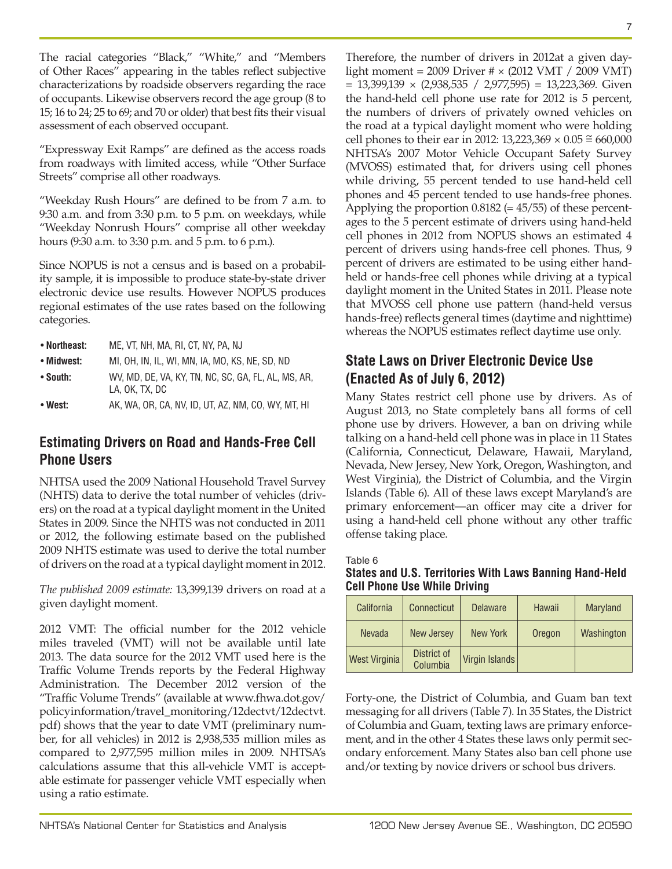The racial categories "Black," "White," and "Members of Other Races" appearing in the tables reflect subjective characterizations by roadside observers regarding the race of occupants. Likewise observers record the age group (8 to 15; 16 to 24; 25 to 69; and 70 or older) that best fits their visual assessment of each observed occupant.

"Expressway Exit Ramps" are defined as the access roads from roadways with limited access, while "Other Surface Streets" comprise all other roadways.

"Weekday Rush Hours" are defined to be from 7 a.m. to 9:30 a.m. and from 3:30 p.m. to 5 p.m. on weekdays, while "Weekday Nonrush Hours" comprise all other weekday hours (9:30 a.m. to 3:30 p.m. and 5 p.m. to 6 p.m.).

Since NOPUS is not a census and is based on a probability sample, it is impossible to produce state-by-state driver electronic device use results. However NOPUS produces regional estimates of the use rates based on the following categories.

| • Northeast: | ME, VT, NH, MA, RI, CT, NY, PA, NJ |  |
|--------------|------------------------------------|--|
|              |                                    |  |

- **Midwest:** MI, OH, IN, IL, WI, MN, IA, MO, KS, NE, SD, ND
- **South:** WV, MD, DE, VA, KY, TN, NC, SC, GA, FL, AL, MS, AR, LA, OK, TX, DC

• **West:** AK, WA, OR, CA, NV, ID, UT, AZ, NM, CO, WY, MT, HI

## **Estimating Drivers on Road and Hands-Free Cell Phone Users**

NHTSA used the 2009 National Household Travel Survey (NHTS) data to derive the total number of vehicles (drivers) on the road at a typical daylight moment in the United States in 2009. Since the NHTS was not conducted in 2011 or 2012, the following estimate based on the published 2009 NHTS estimate was used to derive the total number of drivers on the road at a typical daylight moment in 2012.

*The published 2009 estimate:* 13,399,139 drivers on road at a given daylight moment.

2012 VMT: The official number for the 2012 vehicle miles traveled (VMT) will not be available until late 2013. The data source for the 2012 VMT used here is the Traffic Volume Trends reports by the Federal Highway Administration. The December 2012 version of the "Traffic Volume Trends" (available at www.fhwa.dot.gov/ policyinformation/travel\_monitoring/12dectvt/12dectvt. pdf) shows that the year to date VMT (preliminary number, for all vehicles) in 2012 is 2,938,535 million miles as compared to 2,977,595 million miles in 2009. NHTSA's calculations assume that this all-vehicle VMT is acceptable estimate for passenger vehicle VMT especially when using a ratio estimate.

Therefore, the number of drivers in 2012at a given daylight moment = 2009 Driver # × (2012 VMT / 2009 VMT)  $= 13,399,139 \times (2,938,535 / 2,977,595) = 13,223,369$ . Given the hand-held cell phone use rate for 2012 is 5 percent, the numbers of drivers of privately owned vehicles on the road at a typical daylight moment who were holding cell phones to their ear in 2012: 13,223,369  $\times$  0.05  $\approx$  660,000 NHTSA's 2007 Motor Vehicle Occupant Safety Survey (MVOSS) estimated that, for drivers using cell phones while driving, 55 percent tended to use hand-held cell phones and 45 percent tended to use hands-free phones. Applying the proportion  $0.8182 (= 45/55)$  of these percentages to the 5 percent estimate of drivers using hand-held cell phones in 2012 from NOPUS shows an estimated 4 percent of drivers using hands-free cell phones. Thus, 9 percent of drivers are estimated to be using either handheld or hands-free cell phones while driving at a typical daylight moment in the United States in 2011. Please note that MVOSS cell phone use pattern (hand-held versus hands-free) reflects general times (daytime and nighttime) whereas the NOPUS estimates reflect daytime use only.

## **State Laws on Driver Electronic Device Use (Enacted As of July 6, 2012)**

Many States restrict cell phone use by drivers. As of August 2013, no State completely bans all forms of cell phone use by drivers. However, a ban on driving while talking on a hand-held cell phone was in place in 11 States (California, Connecticut, Delaware, Hawaii, Maryland, Nevada, New Jersey, New York, Oregon, Washington, and West Virginia), the District of Columbia, and the Virgin Islands (Table 6). All of these laws except Maryland's are primary enforcement—an officer may cite a driver for using a hand-held cell phone without any other traffic offense taking place.

Table 6

**States and U.S. Territories With Laws Banning Hand-Held Cell Phone Use While Driving**

| California    | Connecticut             | <b>Delaware</b> | Hawaii | <b>Maryland</b> |
|---------------|-------------------------|-----------------|--------|-----------------|
| <b>Nevada</b> | New Jersey              | <b>New York</b> | Oregon | Washington      |
| West Virginia | District of<br>Columbia | Virgin Islands  |        |                 |

Forty-one, the District of Columbia, and Guam ban text messaging for all drivers (Table 7). In 35 States, the District of Columbia and Guam, texting laws are primary enforcement, and in the other 4 States these laws only permit secondary enforcement. Many States also ban cell phone use and/or texting by novice drivers or school bus drivers.